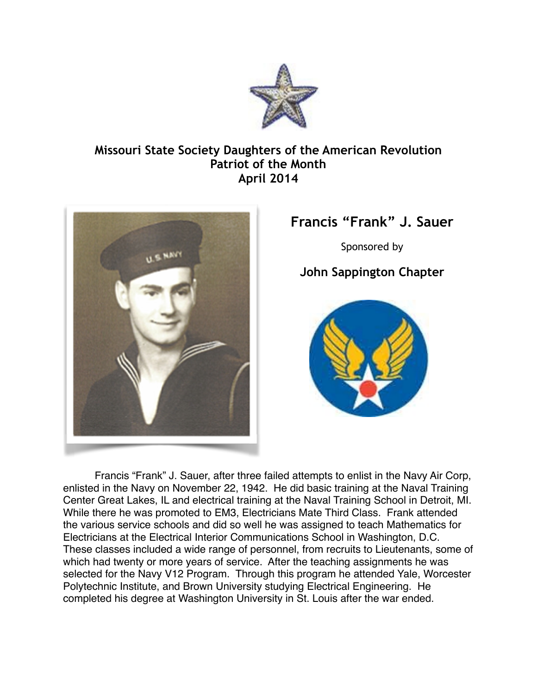

## **Missouri State Society Daughters of the American Revolution Patriot of the Month April 2014**



## **Francis "Frank" J. Sauer**

Sponsored by

## **John Sappington Chapter**



Francis "Frank" J. Sauer, after three failed attempts to enlist in the Navy Air Corp, enlisted in the Navy on November 22, 1942. He did basic training at the Naval Training Center Great Lakes, IL and electrical training at the Naval Training School in Detroit, MI. While there he was promoted to EM3, Electricians Mate Third Class. Frank attended the various service schools and did so well he was assigned to teach Mathematics for Electricians at the Electrical Interior Communications School in Washington, D.C. These classes included a wide range of personnel, from recruits to Lieutenants, some of which had twenty or more years of service. After the teaching assignments he was selected for the Navy V12 Program. Through this program he attended Yale, Worcester Polytechnic Institute, and Brown University studying Electrical Engineering. He completed his degree at Washington University in St. Louis after the war ended.